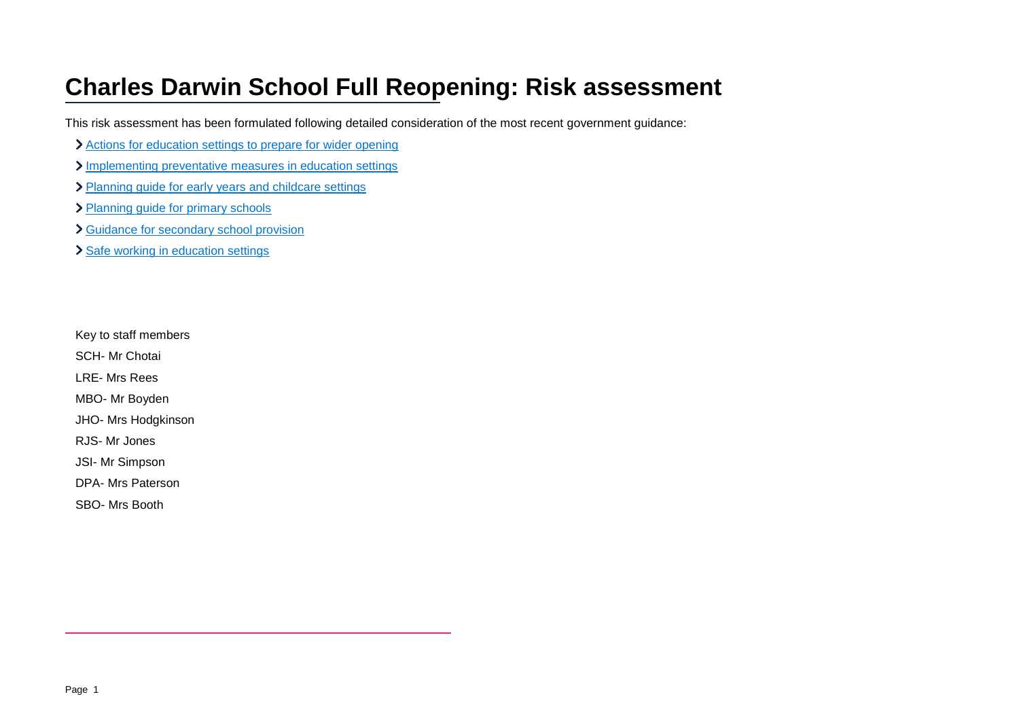## **Charles Darwin School Full Reopening: Risk assessment**

This risk assessment has been formulated following detailed consideration of the most recent government guidance:

- Actions for education [settings to prepare for wider opening](https://www.gov.uk/government/publications/actions-for-educational-and-childcare-settings-to-prepare-for-wider-opening-from-1-june-2020/actions-for-education-and-childcare-settings-to-prepare-for-wider-opening-from-1-june-2020)
- [Implementing preventative measures in education settings](https://www.gov.uk/government/publications/coronavirus-covid-19-implementing-protective-measures-in-education-and-childcare-settings/coronavirus-covid-19-implementing-protective-measures-in-education-and-childcare-settings)
- > [Planning guide for early years and childcare settings](https://www.gov.uk/government/publications/preparing-for-the-wider-opening-of-early-years-and-childcare-settings-from-1-june/planning-guide-for-early-years-and-childcare-settings)
- > [Planning guide for primary schools](https://www.gov.uk/government/publications/preparing-for-the-wider-opening-of-schools-from-1-june/planning-guide-for-primary-schools)
- [Guidance for secondary school provision](https://www.gov.uk/government/publications/preparing-for-the-wider-opening-of-schools-from-1-june/planning-guide-for-secondary-schools)
- > [Safe working in education settings](https://www.gov.uk/government/publications/safe-working-in-education-childcare-and-childrens-social-care/safe-working-in-education-childcare-and-childrens-social-care-settings-including-the-use-of-personal-protective-equipment-ppe)

Key to staff members

SCH- Mr Chotai

LRE- Mrs Rees

MBO- Mr Boyden

JHO- Mrs Hodgkinson

RJS- Mr Jones

JSI- Mr Simpson

DPA- Mrs Paterson

SBO- Mrs Booth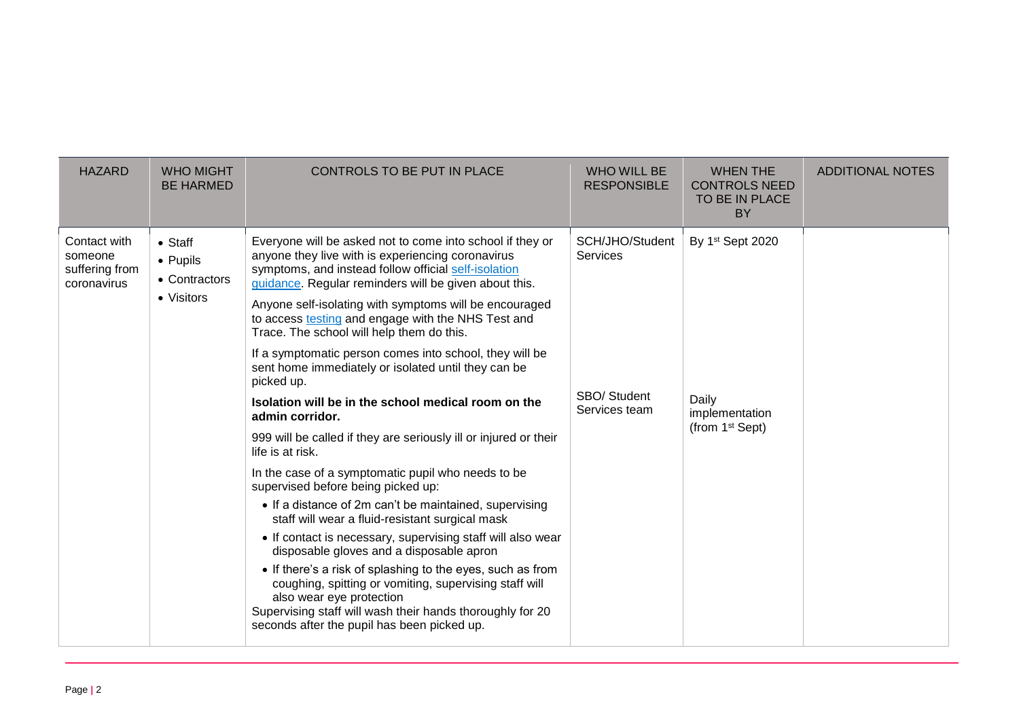| <b>HAZARD</b>                                            | <b>WHO MIGHT</b><br><b>BE HARMED</b>         | CONTROLS TO BE PUT IN PLACE                                                                                                                                                                                                                                  | <b>WHO WILL BE</b><br><b>RESPONSIBLE</b> | <b>WHEN THE</b><br><b>CONTROLS NEED</b><br>TO BE IN PLACE<br><b>BY</b> | <b>ADDITIONAL NOTES</b> |
|----------------------------------------------------------|----------------------------------------------|--------------------------------------------------------------------------------------------------------------------------------------------------------------------------------------------------------------------------------------------------------------|------------------------------------------|------------------------------------------------------------------------|-------------------------|
| Contact with<br>someone<br>suffering from<br>coronavirus | $\bullet$ Staff<br>• Pupils<br>• Contractors | Everyone will be asked not to come into school if they or<br>anyone they live with is experiencing coronavirus<br>symptoms, and instead follow official self-isolation<br>guidance. Regular reminders will be given about this.                              | SCH/JHO/Student<br>Services              | By 1st Sept 2020<br>Daily<br>implementation<br>(from $1st$ Sept)       |                         |
|                                                          | • Visitors                                   | Anyone self-isolating with symptoms will be encouraged<br>to access testing and engage with the NHS Test and<br>Trace. The school will help them do this.                                                                                                    | SBO/ Student<br>Services team            |                                                                        |                         |
|                                                          |                                              | If a symptomatic person comes into school, they will be<br>sent home immediately or isolated until they can be<br>picked up.                                                                                                                                 |                                          |                                                                        |                         |
|                                                          |                                              | Isolation will be in the school medical room on the<br>admin corridor.                                                                                                                                                                                       |                                          |                                                                        |                         |
|                                                          |                                              | 999 will be called if they are seriously ill or injured or their<br>life is at risk.                                                                                                                                                                         |                                          |                                                                        |                         |
|                                                          |                                              | In the case of a symptomatic pupil who needs to be<br>supervised before being picked up:                                                                                                                                                                     |                                          |                                                                        |                         |
|                                                          |                                              | • If a distance of 2m can't be maintained, supervising<br>staff will wear a fluid-resistant surgical mask                                                                                                                                                    |                                          |                                                                        |                         |
|                                                          |                                              | • If contact is necessary, supervising staff will also wear<br>disposable gloves and a disposable apron                                                                                                                                                      |                                          |                                                                        |                         |
|                                                          |                                              | • If there's a risk of splashing to the eyes, such as from<br>coughing, spitting or vomiting, supervising staff will<br>also wear eye protection<br>Supervising staff will wash their hands thoroughly for 20<br>seconds after the pupil has been picked up. |                                          |                                                                        |                         |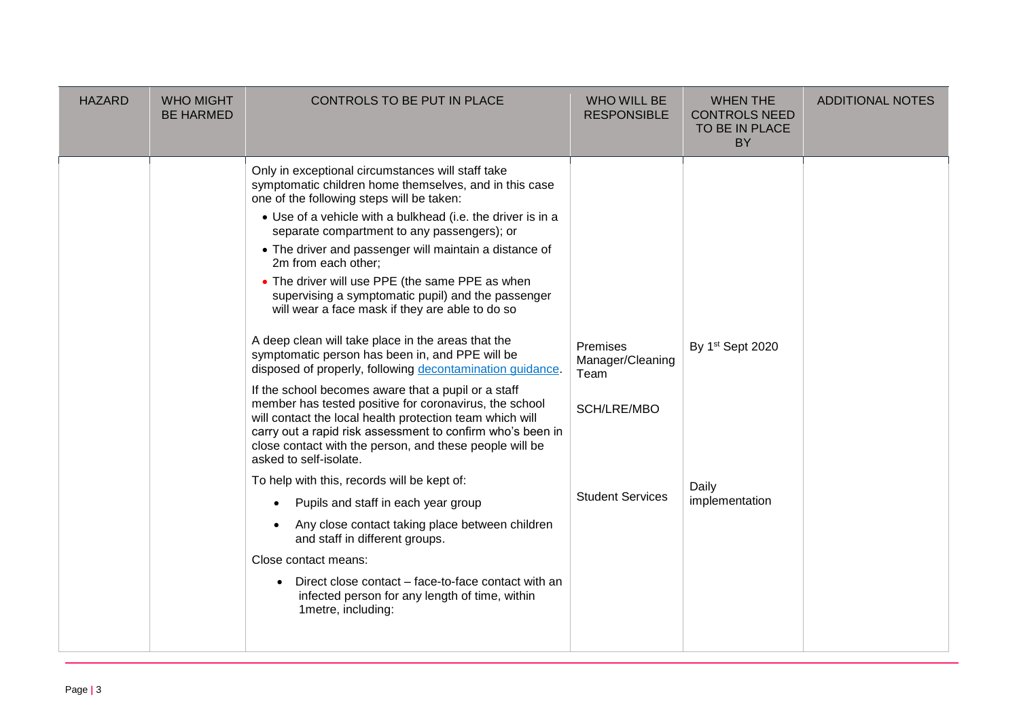| <b>HAZARD</b> | <b>WHO MIGHT</b><br><b>BE HARMED</b> | CONTROLS TO BE PUT IN PLACE                                                                                                                                                                                                                                                                                                                                                                                                                                                                                                                                                                                                                                                                                                                                                                                                                                                                                                                                                                                                                                                                                                                                                                                                                                                                                                                                              | <b>WHO WILL BE</b><br><b>RESPONSIBLE</b>                                       | <b>WHEN THE</b><br><b>CONTROLS NEED</b><br>TO BE IN PLACE<br><b>BY</b> | <b>ADDITIONAL NOTES</b> |
|---------------|--------------------------------------|--------------------------------------------------------------------------------------------------------------------------------------------------------------------------------------------------------------------------------------------------------------------------------------------------------------------------------------------------------------------------------------------------------------------------------------------------------------------------------------------------------------------------------------------------------------------------------------------------------------------------------------------------------------------------------------------------------------------------------------------------------------------------------------------------------------------------------------------------------------------------------------------------------------------------------------------------------------------------------------------------------------------------------------------------------------------------------------------------------------------------------------------------------------------------------------------------------------------------------------------------------------------------------------------------------------------------------------------------------------------------|--------------------------------------------------------------------------------|------------------------------------------------------------------------|-------------------------|
|               |                                      | Only in exceptional circumstances will staff take<br>symptomatic children home themselves, and in this case<br>one of the following steps will be taken:<br>• Use of a vehicle with a bulkhead (i.e. the driver is in a<br>separate compartment to any passengers); or<br>• The driver and passenger will maintain a distance of<br>2m from each other;<br>• The driver will use PPE (the same PPE as when<br>supervising a symptomatic pupil) and the passenger<br>will wear a face mask if they are able to do so<br>A deep clean will take place in the areas that the<br>symptomatic person has been in, and PPE will be<br>disposed of properly, following decontamination guidance.<br>If the school becomes aware that a pupil or a staff<br>member has tested positive for coronavirus, the school<br>will contact the local health protection team which will<br>carry out a rapid risk assessment to confirm who's been in<br>close contact with the person, and these people will be<br>asked to self-isolate.<br>To help with this, records will be kept of:<br>Pupils and staff in each year group<br>Any close contact taking place between children<br>and staff in different groups.<br>Close contact means:<br>Direct close contact – face-to-face contact with an<br>$\bullet$<br>infected person for any length of time, within<br>1metre, including: | Premises<br>Manager/Cleaning<br>Team<br>SCH/LRE/MBO<br><b>Student Services</b> | By 1st Sept 2020<br>Daily<br>implementation                            |                         |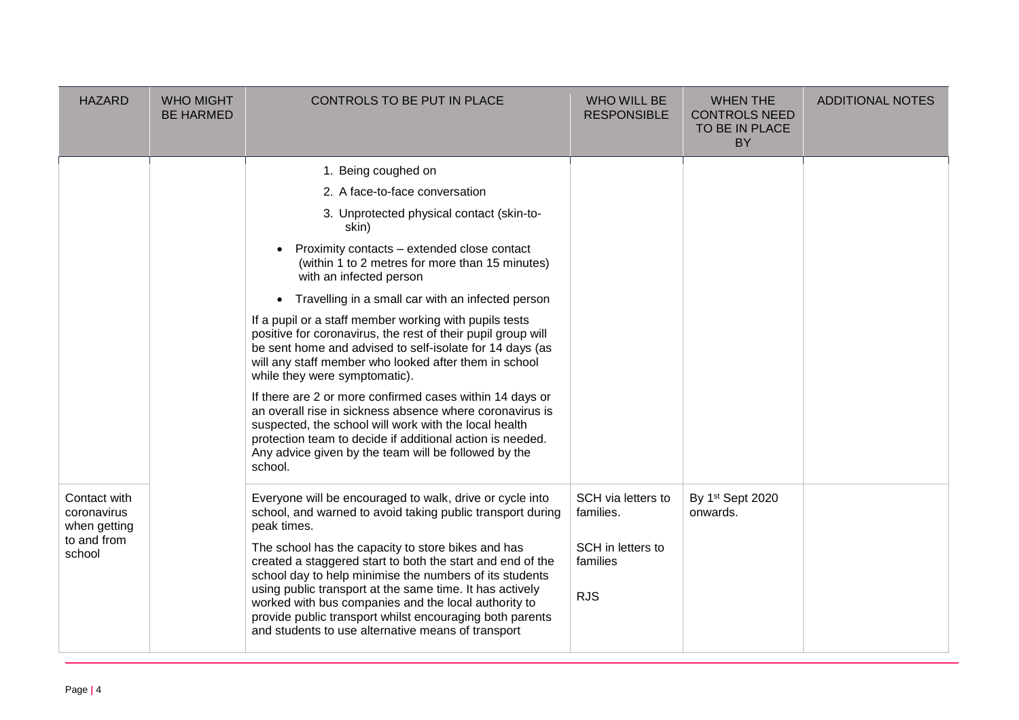| <b>HAZARD</b>                                                        | <b>WHO MIGHT</b><br><b>BE HARMED</b> | CONTROLS TO BE PUT IN PLACE                                                                                                                                                                                                                                                                                                                                                                                                                                                                                                                                                                                                                                                                                                                                                                                                                                                                                              | <b>WHO WILL BE</b><br><b>RESPONSIBLE</b>                                       | <b>WHEN THE</b><br><b>CONTROLS NEED</b><br>TO BE IN PLACE<br><b>BY</b> | <b>ADDITIONAL NOTES</b> |
|----------------------------------------------------------------------|--------------------------------------|--------------------------------------------------------------------------------------------------------------------------------------------------------------------------------------------------------------------------------------------------------------------------------------------------------------------------------------------------------------------------------------------------------------------------------------------------------------------------------------------------------------------------------------------------------------------------------------------------------------------------------------------------------------------------------------------------------------------------------------------------------------------------------------------------------------------------------------------------------------------------------------------------------------------------|--------------------------------------------------------------------------------|------------------------------------------------------------------------|-------------------------|
|                                                                      |                                      | 1. Being coughed on<br>2. A face-to-face conversation<br>3. Unprotected physical contact (skin-to-<br>skin)<br>Proximity contacts - extended close contact<br>$\bullet$<br>(within 1 to 2 metres for more than 15 minutes)<br>with an infected person<br>Travelling in a small car with an infected person<br>$\bullet$<br>If a pupil or a staff member working with pupils tests<br>positive for coronavirus, the rest of their pupil group will<br>be sent home and advised to self-isolate for 14 days (as<br>will any staff member who looked after them in school<br>while they were symptomatic).<br>If there are 2 or more confirmed cases within 14 days or<br>an overall rise in sickness absence where coronavirus is<br>suspected, the school will work with the local health<br>protection team to decide if additional action is needed.<br>Any advice given by the team will be followed by the<br>school. |                                                                                |                                                                        |                         |
| Contact with<br>coronavirus<br>when getting<br>to and from<br>school |                                      | Everyone will be encouraged to walk, drive or cycle into<br>school, and warned to avoid taking public transport during<br>peak times.<br>The school has the capacity to store bikes and has<br>created a staggered start to both the start and end of the<br>school day to help minimise the numbers of its students<br>using public transport at the same time. It has actively<br>worked with bus companies and the local authority to<br>provide public transport whilst encouraging both parents<br>and students to use alternative means of transport                                                                                                                                                                                                                                                                                                                                                               | SCH via letters to<br>families.<br>SCH in letters to<br>families<br><b>RJS</b> | By 1st Sept 2020<br>onwards.                                           |                         |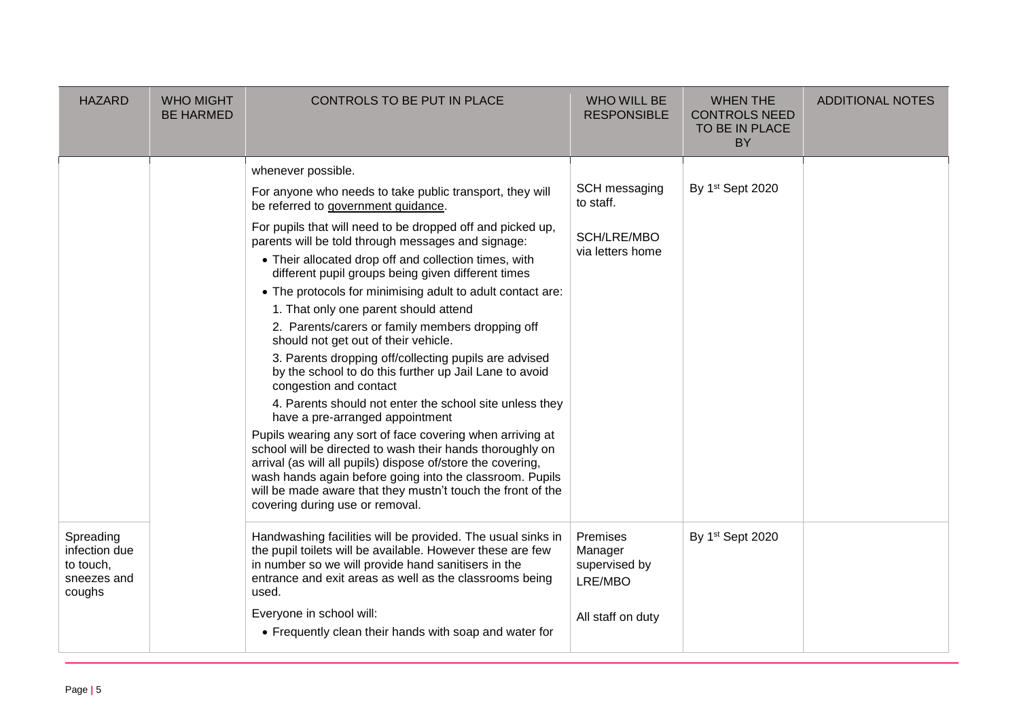| <b>HAZARD</b>                                                    | <b>WHO MIGHT</b><br><b>BE HARMED</b> | CONTROLS TO BE PUT IN PLACE                                                                                                                                                                                                                                                                                                                                                                                                                                                                                                                                                                                                                                                                                                                                                                                                                                                                                                                                                                                                                                                                                                                                   | <b>WHO WILL BE</b><br><b>RESPONSIBLE</b>                             | <b>WHEN THE</b><br><b>CONTROLS NEED</b><br>TO BE IN PLACE<br><b>BY</b> | <b>ADDITIONAL NOTES</b> |
|------------------------------------------------------------------|--------------------------------------|---------------------------------------------------------------------------------------------------------------------------------------------------------------------------------------------------------------------------------------------------------------------------------------------------------------------------------------------------------------------------------------------------------------------------------------------------------------------------------------------------------------------------------------------------------------------------------------------------------------------------------------------------------------------------------------------------------------------------------------------------------------------------------------------------------------------------------------------------------------------------------------------------------------------------------------------------------------------------------------------------------------------------------------------------------------------------------------------------------------------------------------------------------------|----------------------------------------------------------------------|------------------------------------------------------------------------|-------------------------|
|                                                                  |                                      | whenever possible.<br>For anyone who needs to take public transport, they will<br>be referred to government guidance.<br>For pupils that will need to be dropped off and picked up,<br>parents will be told through messages and signage:<br>• Their allocated drop off and collection times, with<br>different pupil groups being given different times<br>• The protocols for minimising adult to adult contact are:<br>1. That only one parent should attend<br>2. Parents/carers or family members dropping off<br>should not get out of their vehicle.<br>3. Parents dropping off/collecting pupils are advised<br>by the school to do this further up Jail Lane to avoid<br>congestion and contact<br>4. Parents should not enter the school site unless they<br>have a pre-arranged appointment<br>Pupils wearing any sort of face covering when arriving at<br>school will be directed to wash their hands thoroughly on<br>arrival (as will all pupils) dispose of/store the covering,<br>wash hands again before going into the classroom. Pupils<br>will be made aware that they mustn't touch the front of the<br>covering during use or removal. | SCH messaging<br>to staff.<br>SCH/LRE/MBO<br>via letters home        | By 1st Sept 2020                                                       |                         |
| Spreading<br>infection due<br>to touch,<br>sneezes and<br>coughs |                                      | Handwashing facilities will be provided. The usual sinks in<br>the pupil toilets will be available. However these are few<br>in number so we will provide hand sanitisers in the<br>entrance and exit areas as well as the classrooms being<br>used.<br>Everyone in school will:<br>• Frequently clean their hands with soap and water for                                                                                                                                                                                                                                                                                                                                                                                                                                                                                                                                                                                                                                                                                                                                                                                                                    | Premises<br>Manager<br>supervised by<br>LRE/MBO<br>All staff on duty | By 1st Sept 2020                                                       |                         |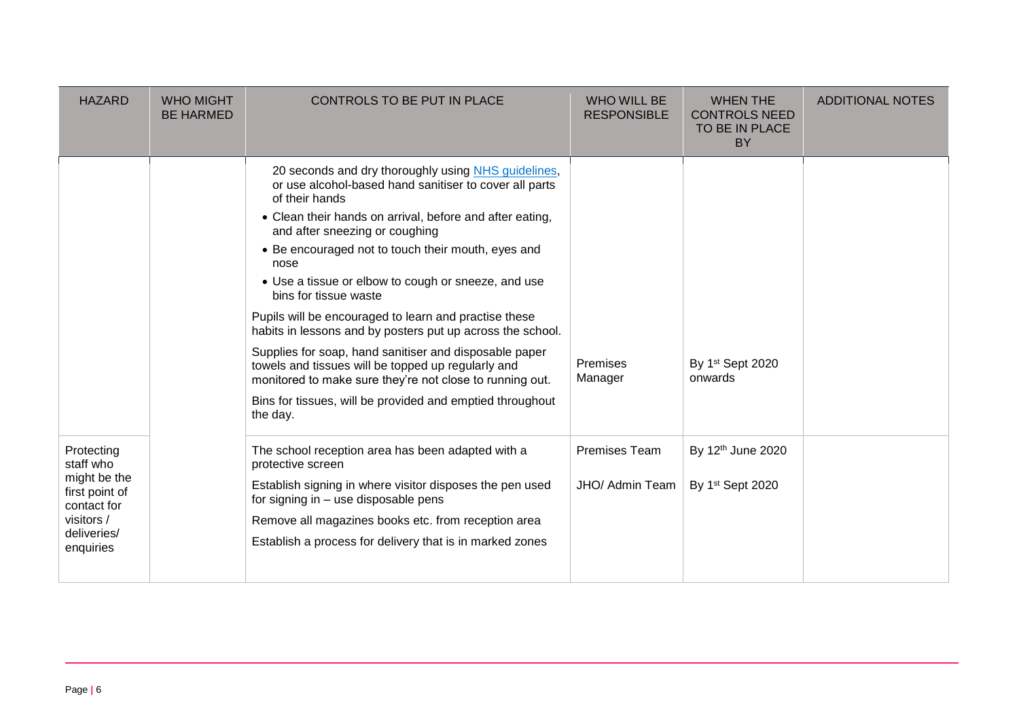| <b>HAZARD</b>                                                                                                      | <b>WHO MIGHT</b><br><b>BE HARMED</b> | CONTROLS TO BE PUT IN PLACE                                                                                                                                                                                                                                                                                                                                                                                                                                                                                                                                                                                                                                                                                                                             | <b>WHO WILL BE</b><br><b>RESPONSIBLE</b> | <b>WHEN THE</b><br><b>CONTROLS NEED</b><br>TO BE IN PLACE<br>BY | <b>ADDITIONAL NOTES</b> |
|--------------------------------------------------------------------------------------------------------------------|--------------------------------------|---------------------------------------------------------------------------------------------------------------------------------------------------------------------------------------------------------------------------------------------------------------------------------------------------------------------------------------------------------------------------------------------------------------------------------------------------------------------------------------------------------------------------------------------------------------------------------------------------------------------------------------------------------------------------------------------------------------------------------------------------------|------------------------------------------|-----------------------------------------------------------------|-------------------------|
|                                                                                                                    |                                      | 20 seconds and dry thoroughly using NHS guidelines,<br>or use alcohol-based hand sanitiser to cover all parts<br>of their hands<br>• Clean their hands on arrival, before and after eating,<br>and after sneezing or coughing<br>• Be encouraged not to touch their mouth, eyes and<br>nose<br>• Use a tissue or elbow to cough or sneeze, and use<br>bins for tissue waste<br>Pupils will be encouraged to learn and practise these<br>habits in lessons and by posters put up across the school.<br>Supplies for soap, hand sanitiser and disposable paper<br>towels and tissues will be topped up regularly and<br>monitored to make sure they're not close to running out.<br>Bins for tissues, will be provided and emptied throughout<br>the day. | Premises<br>Manager                      | By 1st Sept 2020<br>onwards                                     |                         |
| Protecting<br>staff who<br>might be the<br>first point of<br>contact for<br>visitors /<br>deliveries/<br>enquiries |                                      | The school reception area has been adapted with a<br>protective screen<br>Establish signing in where visitor disposes the pen used<br>for signing in - use disposable pens<br>Remove all magazines books etc. from reception area<br>Establish a process for delivery that is in marked zones                                                                                                                                                                                                                                                                                                                                                                                                                                                           | Premises Team<br>JHO/ Admin Team         | By 12th June 2020<br>By 1st Sept 2020                           |                         |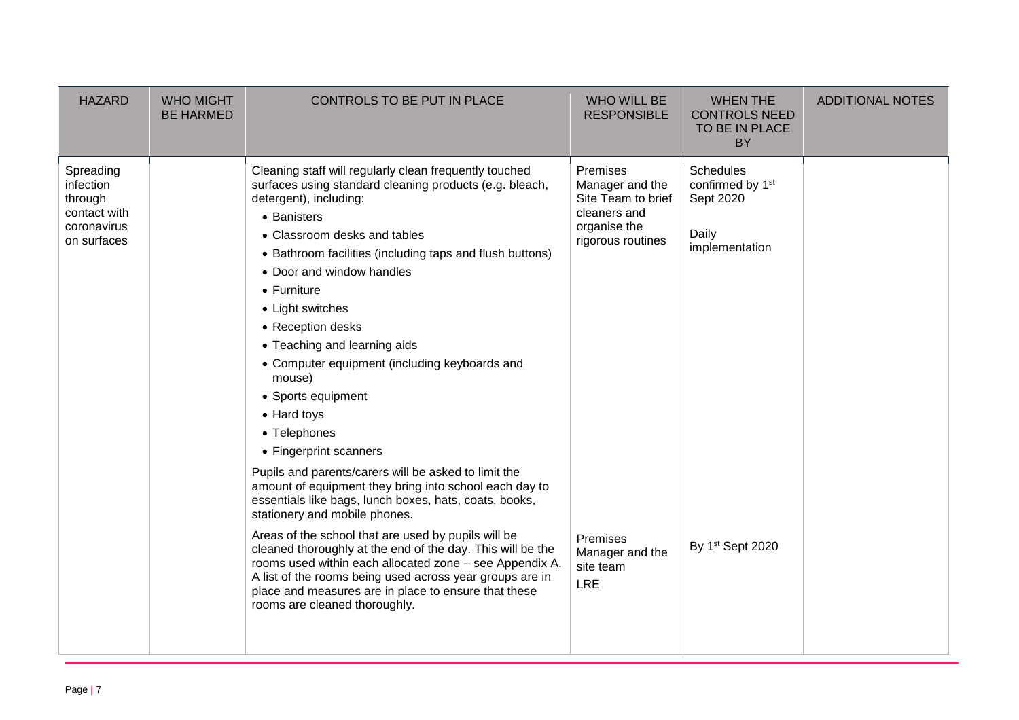| <b>HAZARD</b>                                                                   | <b>WHO MIGHT</b><br><b>BE HARMED</b> | CONTROLS TO BE PUT IN PLACE                                                                                                                                                                                                                                                                                                                                                                                                                                                                                                                                                                                                                                                                                                                                                                                                                                                                                                                                                                                                                                                     | <b>WHO WILL BE</b><br><b>RESPONSIBLE</b>                                                                                                                         | <b>WHEN THE</b><br><b>CONTROLS NEED</b><br>TO BE IN PLACE<br><b>BY</b>                                       | <b>ADDITIONAL NOTES</b> |
|---------------------------------------------------------------------------------|--------------------------------------|---------------------------------------------------------------------------------------------------------------------------------------------------------------------------------------------------------------------------------------------------------------------------------------------------------------------------------------------------------------------------------------------------------------------------------------------------------------------------------------------------------------------------------------------------------------------------------------------------------------------------------------------------------------------------------------------------------------------------------------------------------------------------------------------------------------------------------------------------------------------------------------------------------------------------------------------------------------------------------------------------------------------------------------------------------------------------------|------------------------------------------------------------------------------------------------------------------------------------------------------------------|--------------------------------------------------------------------------------------------------------------|-------------------------|
| Spreading<br>infection<br>through<br>contact with<br>coronavirus<br>on surfaces |                                      | Cleaning staff will regularly clean frequently touched<br>surfaces using standard cleaning products (e.g. bleach,<br>detergent), including:<br>• Banisters<br>• Classroom desks and tables<br>• Bathroom facilities (including taps and flush buttons)<br>• Door and window handles<br>$\bullet$ Furniture<br>• Light switches<br>• Reception desks<br>• Teaching and learning aids<br>• Computer equipment (including keyboards and<br>mouse)<br>• Sports equipment<br>• Hard toys<br>• Telephones<br>• Fingerprint scanners<br>Pupils and parents/carers will be asked to limit the<br>amount of equipment they bring into school each day to<br>essentials like bags, lunch boxes, hats, coats, books,<br>stationery and mobile phones.<br>Areas of the school that are used by pupils will be<br>cleaned thoroughly at the end of the day. This will be the<br>rooms used within each allocated zone - see Appendix A.<br>A list of the rooms being used across year groups are in<br>place and measures are in place to ensure that these<br>rooms are cleaned thoroughly. | Premises<br>Manager and the<br>Site Team to brief<br>cleaners and<br>organise the<br>rigorous routines<br>Premises<br>Manager and the<br>site team<br><b>LRE</b> | <b>Schedules</b><br>confirmed by 1 <sup>st</sup><br>Sept 2020<br>Daily<br>implementation<br>By 1st Sept 2020 |                         |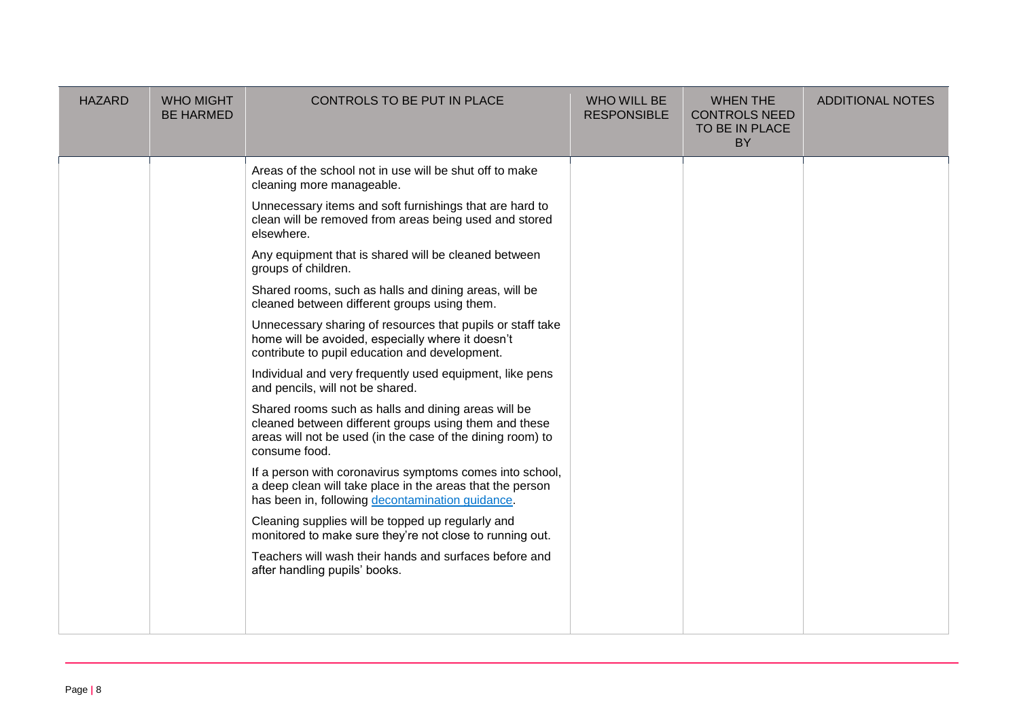| <b>HAZARD</b> | <b>WHO MIGHT</b><br><b>BE HARMED</b> | CONTROLS TO BE PUT IN PLACE                                                                                                                                                                                                                                                                                                                                                                                                                                                                                                                                                                                                                                                                                                                                                                                                                                                                                                                                                                                                                                                                                                                                                                                                                                                  | <b>WHO WILL BE</b><br><b>RESPONSIBLE</b> | <b>WHEN THE</b><br><b>CONTROLS NEED</b><br>TO BE IN PLACE<br><b>BY</b> | <b>ADDITIONAL NOTES</b> |
|---------------|--------------------------------------|------------------------------------------------------------------------------------------------------------------------------------------------------------------------------------------------------------------------------------------------------------------------------------------------------------------------------------------------------------------------------------------------------------------------------------------------------------------------------------------------------------------------------------------------------------------------------------------------------------------------------------------------------------------------------------------------------------------------------------------------------------------------------------------------------------------------------------------------------------------------------------------------------------------------------------------------------------------------------------------------------------------------------------------------------------------------------------------------------------------------------------------------------------------------------------------------------------------------------------------------------------------------------|------------------------------------------|------------------------------------------------------------------------|-------------------------|
|               |                                      | Areas of the school not in use will be shut off to make<br>cleaning more manageable.<br>Unnecessary items and soft furnishings that are hard to<br>clean will be removed from areas being used and stored<br>elsewhere.<br>Any equipment that is shared will be cleaned between<br>groups of children.<br>Shared rooms, such as halls and dining areas, will be<br>cleaned between different groups using them.<br>Unnecessary sharing of resources that pupils or staff take<br>home will be avoided, especially where it doesn't<br>contribute to pupil education and development.<br>Individual and very frequently used equipment, like pens<br>and pencils, will not be shared.<br>Shared rooms such as halls and dining areas will be<br>cleaned between different groups using them and these<br>areas will not be used (in the case of the dining room) to<br>consume food.<br>If a person with coronavirus symptoms comes into school,<br>a deep clean will take place in the areas that the person<br>has been in, following decontamination quidance.<br>Cleaning supplies will be topped up regularly and<br>monitored to make sure they're not close to running out.<br>Teachers will wash their hands and surfaces before and<br>after handling pupils' books. |                                          |                                                                        |                         |
|               |                                      |                                                                                                                                                                                                                                                                                                                                                                                                                                                                                                                                                                                                                                                                                                                                                                                                                                                                                                                                                                                                                                                                                                                                                                                                                                                                              |                                          |                                                                        |                         |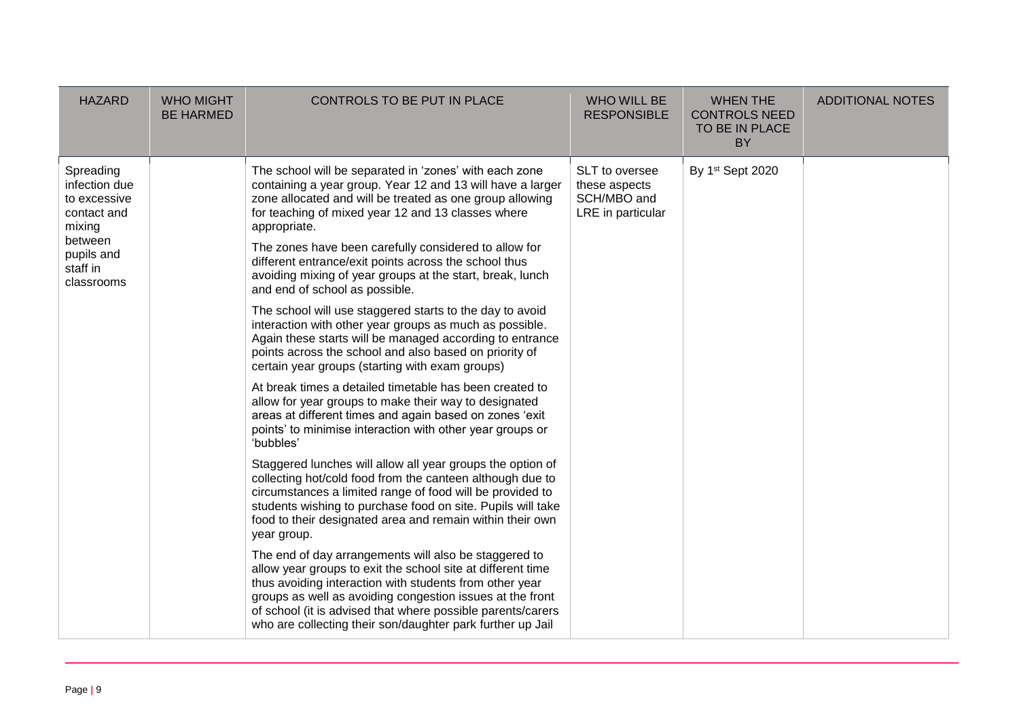| <b>HAZARD</b>                                                                                                          | <b>WHO MIGHT</b><br><b>BE HARMED</b> | CONTROLS TO BE PUT IN PLACE                                                                                                                                                                                                                                                                                                                                                                                                                                                                                                                                                                                                                                                                                                                                                                                                                                                                                                                                                                                                                                                                                                                                                                                                                                                                                                                                                                                                                                                                                                                                                                                                                                                                                                                      | <b>WHO WILL BE</b><br><b>RESPONSIBLE</b>                            | <b>WHEN THE</b><br><b>CONTROLS NEED</b><br>TO BE IN PLACE<br><b>BY</b> | <b>ADDITIONAL NOTES</b> |
|------------------------------------------------------------------------------------------------------------------------|--------------------------------------|--------------------------------------------------------------------------------------------------------------------------------------------------------------------------------------------------------------------------------------------------------------------------------------------------------------------------------------------------------------------------------------------------------------------------------------------------------------------------------------------------------------------------------------------------------------------------------------------------------------------------------------------------------------------------------------------------------------------------------------------------------------------------------------------------------------------------------------------------------------------------------------------------------------------------------------------------------------------------------------------------------------------------------------------------------------------------------------------------------------------------------------------------------------------------------------------------------------------------------------------------------------------------------------------------------------------------------------------------------------------------------------------------------------------------------------------------------------------------------------------------------------------------------------------------------------------------------------------------------------------------------------------------------------------------------------------------------------------------------------------------|---------------------------------------------------------------------|------------------------------------------------------------------------|-------------------------|
| Spreading<br>infection due<br>to excessive<br>contact and<br>mixing<br>between<br>pupils and<br>staff in<br>classrooms |                                      | The school will be separated in 'zones' with each zone<br>containing a year group. Year 12 and 13 will have a larger<br>zone allocated and will be treated as one group allowing<br>for teaching of mixed year 12 and 13 classes where<br>appropriate.<br>The zones have been carefully considered to allow for<br>different entrance/exit points across the school thus<br>avoiding mixing of year groups at the start, break, lunch<br>and end of school as possible.<br>The school will use staggered starts to the day to avoid<br>interaction with other year groups as much as possible.<br>Again these starts will be managed according to entrance<br>points across the school and also based on priority of<br>certain year groups (starting with exam groups)<br>At break times a detailed timetable has been created to<br>allow for year groups to make their way to designated<br>areas at different times and again based on zones 'exit<br>points' to minimise interaction with other year groups or<br>'bubbles'<br>Staggered lunches will allow all year groups the option of<br>collecting hot/cold food from the canteen although due to<br>circumstances a limited range of food will be provided to<br>students wishing to purchase food on site. Pupils will take<br>food to their designated area and remain within their own<br>year group.<br>The end of day arrangements will also be staggered to<br>allow year groups to exit the school site at different time<br>thus avoiding interaction with students from other year<br>groups as well as avoiding congestion issues at the front<br>of school (it is advised that where possible parents/carers<br>who are collecting their son/daughter park further up Jail | SLT to oversee<br>these aspects<br>SCH/MBO and<br>LRE in particular | By 1st Sept 2020                                                       |                         |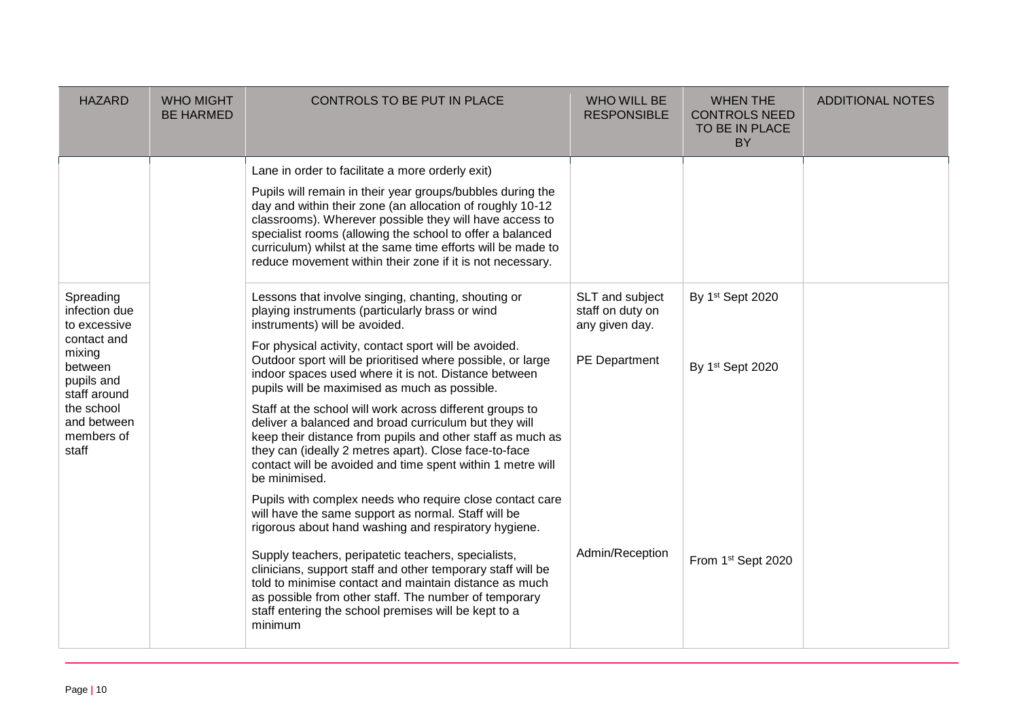| <b>HAZARD</b>                                                                                                                                                    | <b>WHO MIGHT</b><br><b>BE HARMED</b> | CONTROLS TO BE PUT IN PLACE                                                                                                                                                                                                                                                                                                                                                                                                                                                                                                                                                                                                                                                                                                                                                                                                                                                   | <b>WHO WILL BE</b><br><b>RESPONSIBLE</b>                               | <b>WHEN THE</b><br><b>CONTROLS NEED</b><br>TO BE IN PLACE<br><b>BY</b> | <b>ADDITIONAL NOTES</b> |
|------------------------------------------------------------------------------------------------------------------------------------------------------------------|--------------------------------------|-------------------------------------------------------------------------------------------------------------------------------------------------------------------------------------------------------------------------------------------------------------------------------------------------------------------------------------------------------------------------------------------------------------------------------------------------------------------------------------------------------------------------------------------------------------------------------------------------------------------------------------------------------------------------------------------------------------------------------------------------------------------------------------------------------------------------------------------------------------------------------|------------------------------------------------------------------------|------------------------------------------------------------------------|-------------------------|
|                                                                                                                                                                  |                                      | Lane in order to facilitate a more orderly exit)<br>Pupils will remain in their year groups/bubbles during the<br>day and within their zone (an allocation of roughly 10-12<br>classrooms). Wherever possible they will have access to<br>specialist rooms (allowing the school to offer a balanced<br>curriculum) whilst at the same time efforts will be made to<br>reduce movement within their zone if it is not necessary.                                                                                                                                                                                                                                                                                                                                                                                                                                               |                                                                        |                                                                        |                         |
| Spreading<br>infection due<br>to excessive<br>contact and<br>mixing<br>between<br>pupils and<br>staff around<br>the school<br>and between<br>members of<br>staff |                                      | Lessons that involve singing, chanting, shouting or<br>playing instruments (particularly brass or wind<br>instruments) will be avoided.<br>For physical activity, contact sport will be avoided.<br>Outdoor sport will be prioritised where possible, or large<br>indoor spaces used where it is not. Distance between<br>pupils will be maximised as much as possible.<br>Staff at the school will work across different groups to<br>deliver a balanced and broad curriculum but they will<br>keep their distance from pupils and other staff as much as<br>they can (ideally 2 metres apart). Close face-to-face<br>contact will be avoided and time spent within 1 metre will<br>be minimised.<br>Pupils with complex needs who require close contact care<br>will have the same support as normal. Staff will be<br>rigorous about hand washing and respiratory hygiene. | SLT and subject<br>staff on duty on<br>any given day.<br>PE Department | By 1st Sept 2020<br>By 1st Sept 2020                                   |                         |
|                                                                                                                                                                  |                                      | Supply teachers, peripatetic teachers, specialists,<br>clinicians, support staff and other temporary staff will be<br>told to minimise contact and maintain distance as much<br>as possible from other staff. The number of temporary<br>staff entering the school premises will be kept to a<br>minimum                                                                                                                                                                                                                                                                                                                                                                                                                                                                                                                                                                      | Admin/Reception                                                        | From 1st Sept 2020                                                     |                         |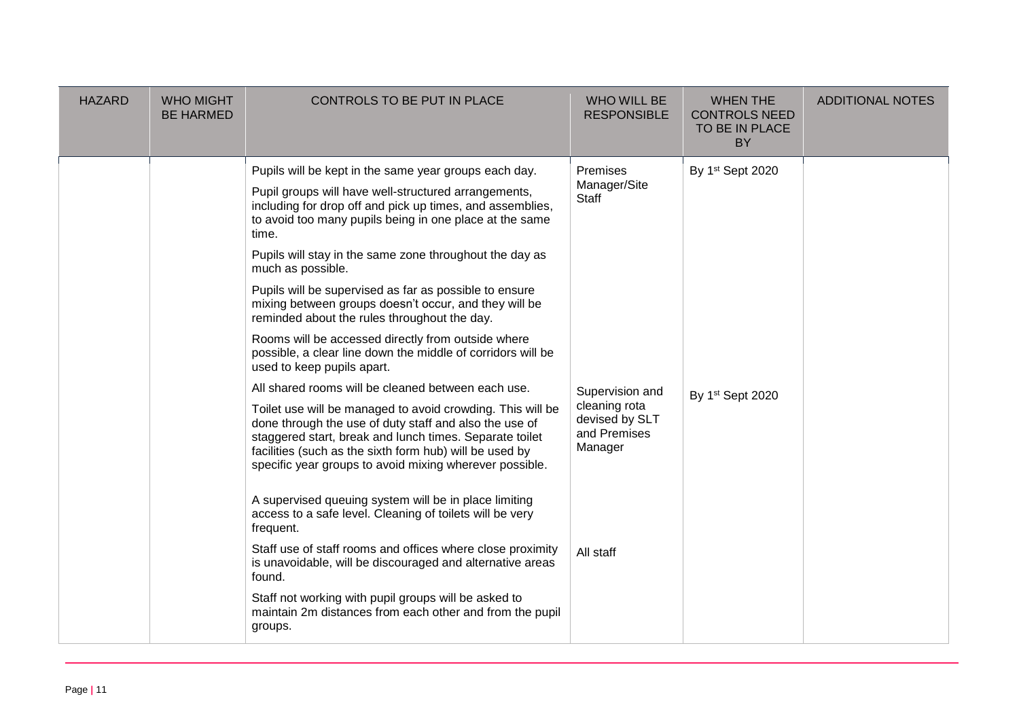| <b>HAZARD</b> | <b>WHO MIGHT</b><br><b>BE HARMED</b> | CONTROLS TO BE PUT IN PLACE                                                                                                                                                                                                                                                                                                                                                                                                                                                                                                                                                                                                                                                                                                                                                                                                                                                                                                                                                                                         | <b>WHO WILL BE</b><br><b>RESPONSIBLE</b>                                                                           | <b>WHEN THE</b><br><b>CONTROLS NEED</b><br>TO BE IN PLACE<br><b>BY</b> | <b>ADDITIONAL NOTES</b> |
|---------------|--------------------------------------|---------------------------------------------------------------------------------------------------------------------------------------------------------------------------------------------------------------------------------------------------------------------------------------------------------------------------------------------------------------------------------------------------------------------------------------------------------------------------------------------------------------------------------------------------------------------------------------------------------------------------------------------------------------------------------------------------------------------------------------------------------------------------------------------------------------------------------------------------------------------------------------------------------------------------------------------------------------------------------------------------------------------|--------------------------------------------------------------------------------------------------------------------|------------------------------------------------------------------------|-------------------------|
|               |                                      | Pupils will be kept in the same year groups each day.<br>Pupil groups will have well-structured arrangements,<br>including for drop off and pick up times, and assemblies,<br>to avoid too many pupils being in one place at the same<br>time.<br>Pupils will stay in the same zone throughout the day as<br>much as possible.<br>Pupils will be supervised as far as possible to ensure<br>mixing between groups doesn't occur, and they will be<br>reminded about the rules throughout the day.<br>Rooms will be accessed directly from outside where<br>possible, a clear line down the middle of corridors will be<br>used to keep pupils apart.<br>All shared rooms will be cleaned between each use.<br>Toilet use will be managed to avoid crowding. This will be<br>done through the use of duty staff and also the use of<br>staggered start, break and lunch times. Separate toilet<br>facilities (such as the sixth form hub) will be used by<br>specific year groups to avoid mixing wherever possible. | Premises<br>Manager/Site<br>Staff<br>Supervision and<br>cleaning rota<br>devised by SLT<br>and Premises<br>Manager | By 1st Sept 2020<br>By 1st Sept 2020                                   |                         |
|               |                                      | A supervised queuing system will be in place limiting<br>access to a safe level. Cleaning of toilets will be very<br>frequent.<br>Staff use of staff rooms and offices where close proximity<br>is unavoidable, will be discouraged and alternative areas<br>found.<br>Staff not working with pupil groups will be asked to<br>maintain 2m distances from each other and from the pupil<br>groups.                                                                                                                                                                                                                                                                                                                                                                                                                                                                                                                                                                                                                  | All staff                                                                                                          |                                                                        |                         |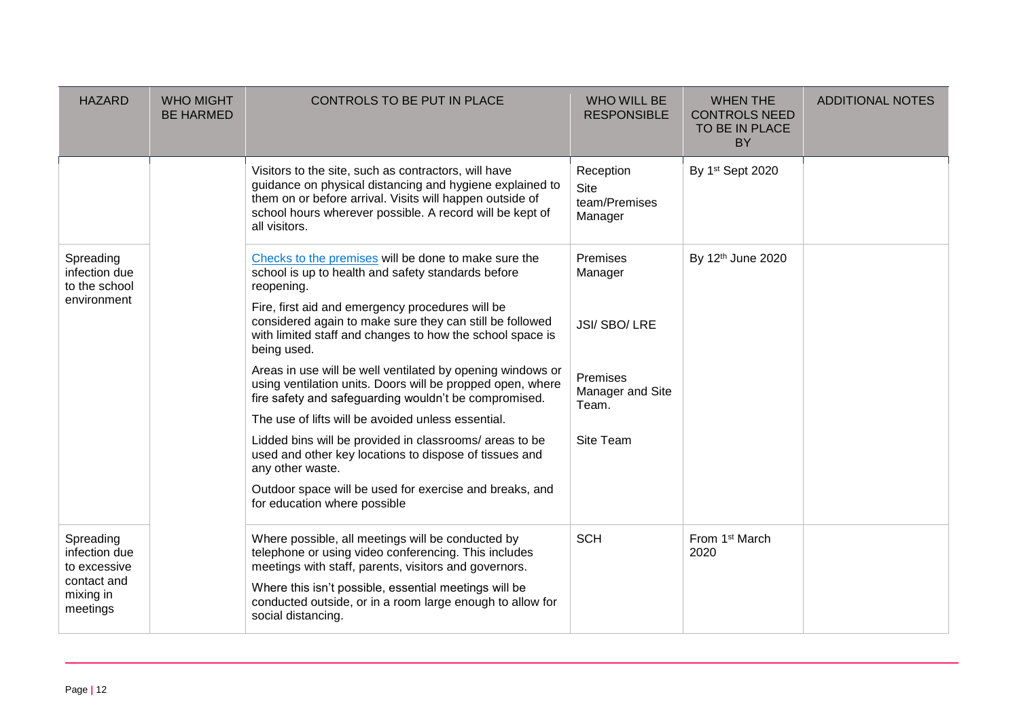| <b>HAZARD</b>                               | <b>WHO MIGHT</b><br><b>BE HARMED</b> | CONTROLS TO BE PUT IN PLACE                                                                                                                                                                                                                               | <b>WHO WILL BE</b><br><b>RESPONSIBLE</b>      | <b>WHEN THE</b><br><b>CONTROLS NEED</b><br>TO BE IN PLACE<br><b>BY</b> | <b>ADDITIONAL NOTES</b> |
|---------------------------------------------|--------------------------------------|-----------------------------------------------------------------------------------------------------------------------------------------------------------------------------------------------------------------------------------------------------------|-----------------------------------------------|------------------------------------------------------------------------|-------------------------|
|                                             |                                      | Visitors to the site, such as contractors, will have<br>guidance on physical distancing and hygiene explained to<br>them on or before arrival. Visits will happen outside of<br>school hours wherever possible. A record will be kept of<br>all visitors. | Reception<br>Site<br>team/Premises<br>Manager | By 1st Sept 2020                                                       |                         |
| Spreading<br>infection due<br>to the school |                                      | Checks to the premises will be done to make sure the<br>school is up to health and safety standards before<br>reopening.                                                                                                                                  | Premises<br>Manager                           | By 12th June 2020                                                      |                         |
| environment                                 |                                      | Fire, first aid and emergency procedures will be<br>considered again to make sure they can still be followed<br>with limited staff and changes to how the school space is<br>being used.                                                                  | <b>JSI/SBO/LRE</b>                            |                                                                        |                         |
|                                             |                                      | Areas in use will be well ventilated by opening windows or<br>using ventilation units. Doors will be propped open, where<br>fire safety and safeguarding wouldn't be compromised.                                                                         | <b>Premises</b><br>Manager and Site<br>Team.  |                                                                        |                         |
|                                             |                                      | The use of lifts will be avoided unless essential.                                                                                                                                                                                                        |                                               |                                                                        |                         |
|                                             |                                      | Lidded bins will be provided in classrooms/ areas to be<br>used and other key locations to dispose of tissues and<br>any other waste.                                                                                                                     | Site Team                                     |                                                                        |                         |
|                                             |                                      | Outdoor space will be used for exercise and breaks, and<br>for education where possible                                                                                                                                                                   |                                               |                                                                        |                         |
| Spreading<br>infection due<br>to excessive  |                                      | Where possible, all meetings will be conducted by<br>telephone or using video conferencing. This includes<br>meetings with staff, parents, visitors and governors.                                                                                        | <b>SCH</b>                                    | From 1 <sup>st</sup> March<br>2020                                     |                         |
| contact and<br>mixing in<br>meetings        |                                      | Where this isn't possible, essential meetings will be<br>conducted outside, or in a room large enough to allow for<br>social distancing.                                                                                                                  |                                               |                                                                        |                         |